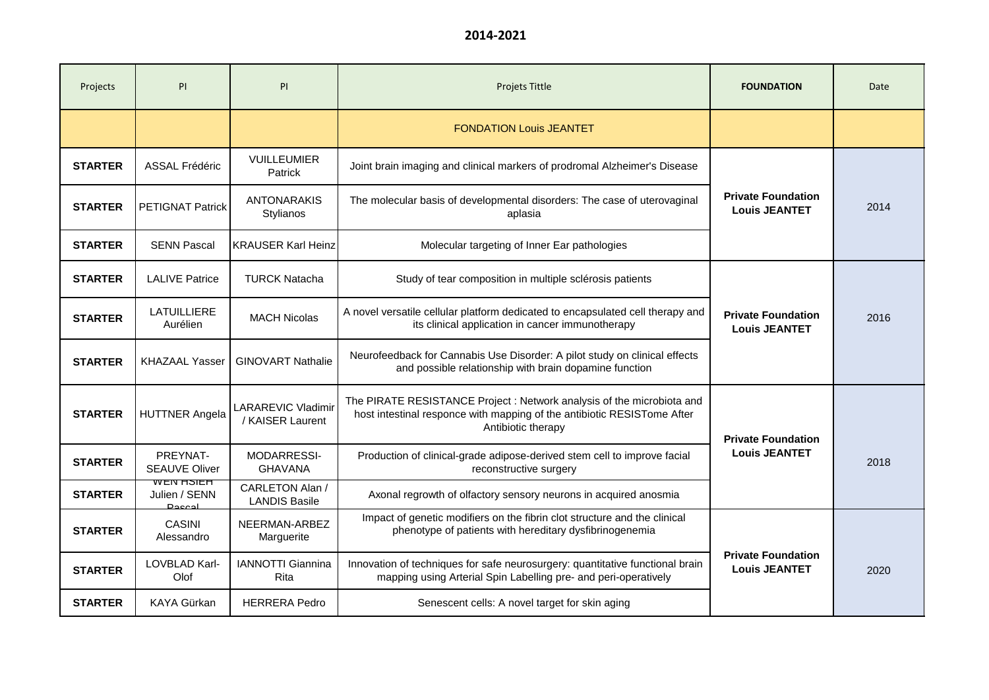| Projects       | PI                                                 | PI                                      | <b>Projets Tittle</b>                                                                                                                                                   | <b>FOUNDATION</b>                                 | Date |
|----------------|----------------------------------------------------|-----------------------------------------|-------------------------------------------------------------------------------------------------------------------------------------------------------------------------|---------------------------------------------------|------|
|                |                                                    |                                         | <b>FONDATION Louis JEANTET</b>                                                                                                                                          |                                                   |      |
| <b>STARTER</b> | <b>ASSAL Frédéric</b>                              | <b>VUILLEUMIER</b><br>Patrick           | Joint brain imaging and clinical markers of prodromal Alzheimer's Disease                                                                                               |                                                   |      |
| <b>STARTER</b> | <b>PETIGNAT Patrick</b>                            | <b>ANTONARAKIS</b><br>Stylianos         | The molecular basis of developmental disorders: The case of uterovaginal<br>aplasia                                                                                     | <b>Private Foundation</b><br><b>Louis JEANTET</b> | 2014 |
| <b>STARTER</b> | <b>SENN Pascal</b>                                 | <b>KRAUSER Karl Heinz</b>               | Molecular targeting of Inner Ear pathologies                                                                                                                            |                                                   |      |
| <b>STARTER</b> | <b>LALIVE Patrice</b>                              | <b>TURCK Natacha</b>                    | Study of tear composition in multiple sclérosis patients                                                                                                                |                                                   |      |
| <b>STARTER</b> | <b>LATUILLIERE</b><br>Aurélien                     | <b>MACH Nicolas</b>                     | A novel versatile cellular platform dedicated to encapsulated cell therapy and<br>its clinical application in cancer immunotherapy                                      | <b>Private Foundation</b><br><b>Louis JEANTET</b> | 2016 |
| <b>STARTER</b> | <b>KHAZAAL Yasser</b>                              | <b>GINOVART Nathalie</b>                | Neurofeedback for Cannabis Use Disorder: A pilot study on clinical effects<br>and possible relationship with brain dopamine function                                    |                                                   |      |
| <b>STARTER</b> | <b>HUTTNER Angela</b>                              | LARAREVIC Vladimir<br>/ KAISER Laurent  | The PIRATE RESISTANCE Project : Network analysis of the microbiota and<br>host intestinal responce with mapping of the antibiotic RESISTome After<br>Antibiotic therapy | <b>Private Foundation</b><br><b>Louis JEANTET</b> |      |
| <b>STARTER</b> | PREYNAT-<br><b>SEAUVE Oliver</b>                   | MODARRESSI-<br><b>GHAVANA</b>           | Production of clinical-grade adipose-derived stem cell to improve facial<br>reconstructive surgery                                                                      |                                                   | 2018 |
| <b>STARTER</b> | <u>WEN NOIEN</u><br>Julien / SENN<br><b>Doccol</b> | CARLETON Alan /<br><b>LANDIS Basile</b> | Axonal regrowth of olfactory sensory neurons in acquired anosmia                                                                                                        |                                                   |      |
| <b>STARTER</b> | <b>CASINI</b><br>Alessandro                        | NEERMAN-ARBEZ<br>Marguerite             | Impact of genetic modifiers on the fibrin clot structure and the clinical<br>phenotype of patients with hereditary dysfibrinogenemia                                    | <b>Private Foundation</b><br><b>Louis JEANTET</b> |      |
| <b>STARTER</b> | LOVBLAD Karl-<br>Olof                              | <b>IANNOTTI Giannina</b><br>Rita        | Innovation of techniques for safe neurosurgery: quantitative functional brain<br>mapping using Arterial Spin Labelling pre- and peri-operatively                        |                                                   | 2020 |
| <b>STARTER</b> | KAYA Gürkan                                        | <b>HERRERA Pedro</b>                    | Senescent cells: A novel target for skin aging                                                                                                                          |                                                   |      |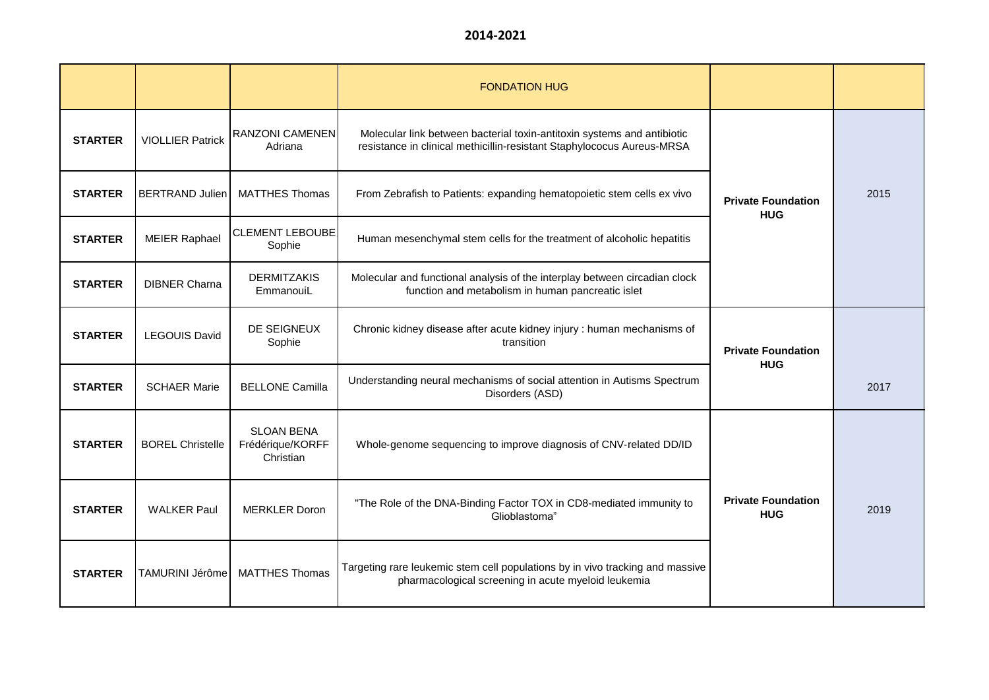|                |                         |                                                    | <b>FONDATION HUG</b>                                                                                                                              |                                         |      |
|----------------|-------------------------|----------------------------------------------------|---------------------------------------------------------------------------------------------------------------------------------------------------|-----------------------------------------|------|
| <b>STARTER</b> | <b>VIOLLIER Patrick</b> | RANZONI CAMENEN<br>Adriana                         | Molecular link between bacterial toxin-antitoxin systems and antibiotic<br>resistance in clinical methicillin-resistant Staphylococus Aureus-MRSA | <b>Private Foundation</b><br><b>HUG</b> |      |
| <b>STARTER</b> | <b>BERTRAND Julien</b>  | <b>MATTHES Thomas</b>                              | From Zebrafish to Patients: expanding hematopoietic stem cells ex vivo                                                                            |                                         | 2015 |
| <b>STARTER</b> | <b>MEIER Raphael</b>    | <b>CLEMENT LEBOUBE</b><br>Sophie                   | Human mesenchymal stem cells for the treatment of alcoholic hepatitis                                                                             |                                         |      |
| <b>STARTER</b> | <b>DIBNER Charna</b>    | <b>DERMITZAKIS</b><br>EmmanouiL                    | Molecular and functional analysis of the interplay between circadian clock<br>function and metabolism in human pancreatic islet                   |                                         |      |
| <b>STARTER</b> | <b>LEGOUIS David</b>    | DE SEIGNEUX<br>Sophie                              | Chronic kidney disease after acute kidney injury : human mechanisms of<br>transition                                                              | <b>Private Foundation</b><br><b>HUG</b> |      |
| <b>STARTER</b> | <b>SCHAER Marie</b>     | <b>BELLONE Camilla</b>                             | Understanding neural mechanisms of social attention in Autisms Spectrum<br>Disorders (ASD)                                                        |                                         | 2017 |
| <b>STARTER</b> | <b>BOREL Christelle</b> | <b>SLOAN BENA</b><br>Frédérique/KORFF<br>Christian | Whole-genome sequencing to improve diagnosis of CNV-related DD/ID                                                                                 |                                         |      |
| <b>STARTER</b> | <b>WALKER Paul</b>      | <b>MERKLER Doron</b>                               | "The Role of the DNA-Binding Factor TOX in CD8-mediated immunity to<br>Glioblastoma"                                                              | <b>Private Foundation</b><br><b>HUG</b> | 2019 |
| <b>STARTER</b> | TAMURINI Jérôme         | <b>MATTHES Thomas</b>                              | Targeting rare leukemic stem cell populations by in vivo tracking and massive<br>pharmacological screening in acute myeloid leukemia              |                                         |      |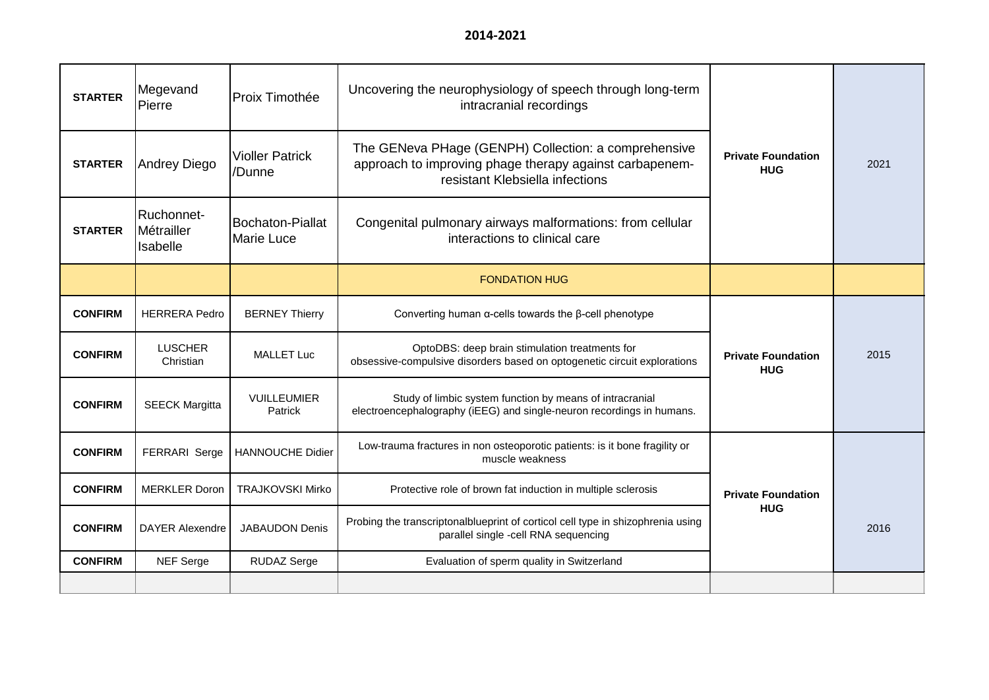| <b>STARTER</b> | Megevand<br>Pierre                   | Proix Timothée                        | Uncovering the neurophysiology of speech through long-term<br>intracranial recordings                                                              |                                         |      |
|----------------|--------------------------------------|---------------------------------------|----------------------------------------------------------------------------------------------------------------------------------------------------|-----------------------------------------|------|
| <b>STARTER</b> | <b>Andrey Diego</b>                  | <b>Violler Patrick</b><br>/Dunne      | The GENeva PHage (GENPH) Collection: a comprehensive<br>approach to improving phage therapy against carbapenem-<br>resistant Klebsiella infections | <b>Private Foundation</b><br><b>HUG</b> | 2021 |
| <b>STARTER</b> | Ruchonnet-<br>Métrailler<br>Isabelle | Bochaton-Piallat<br><b>Marie Luce</b> | Congenital pulmonary airways malformations: from cellular<br>interactions to clinical care                                                         |                                         |      |
|                |                                      |                                       | <b>FONDATION HUG</b>                                                                                                                               |                                         |      |
| <b>CONFIRM</b> | <b>HERRERA Pedro</b>                 | <b>BERNEY Thierry</b>                 | Converting human $\alpha$ -cells towards the $\beta$ -cell phenotype                                                                               |                                         |      |
| <b>CONFIRM</b> | <b>LUSCHER</b><br>Christian          | <b>MALLET Luc</b>                     | OptoDBS: deep brain stimulation treatments for<br>obsessive-compulsive disorders based on optogenetic circuit explorations                         | <b>Private Foundation</b><br><b>HUG</b> | 2015 |
| <b>CONFIRM</b> | <b>SEECK Margitta</b>                | <b>VUILLEUMIER</b><br>Patrick         | Study of limbic system function by means of intracranial<br>electroencephalography (iEEG) and single-neuron recordings in humans.                  |                                         |      |
| <b>CONFIRM</b> | <b>FERRARI Serge</b>                 | <b>HANNOUCHE Didier</b>               | Low-trauma fractures in non osteoporotic patients: is it bone fragility or<br>muscle weakness                                                      |                                         |      |
| <b>CONFIRM</b> | <b>MERKLER Doron</b>                 | <b>TRAJKOVSKI Mirko</b>               | Protective role of brown fat induction in multiple sclerosis                                                                                       | <b>Private Foundation</b>               |      |
| <b>CONFIRM</b> | <b>DAYER Alexendre</b>               | <b>JABAUDON Denis</b>                 | Probing the transcriptonalblueprint of corticol cell type in shizophrenia using<br>parallel single -cell RNA sequencing                            | <b>HUG</b>                              | 2016 |
| <b>CONFIRM</b> | <b>NEF</b> Serge                     | <b>RUDAZ Serge</b>                    | Evaluation of sperm quality in Switzerland                                                                                                         |                                         |      |
|                |                                      |                                       |                                                                                                                                                    |                                         |      |